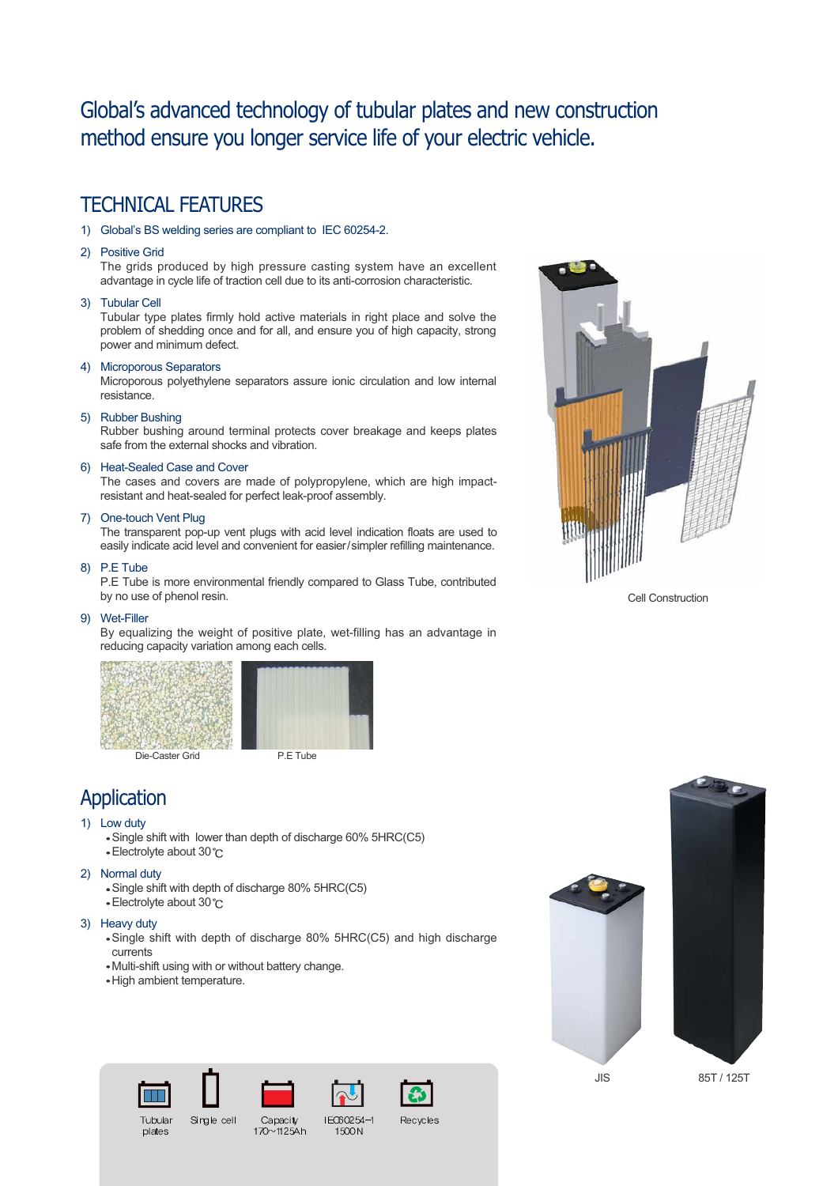## Global's advanced technology of tubular plates and new construction method ensure you longer service life of your electric vehicle.

### TECHNICAL FEATURES

- 1) Global's BS welding series are compliant to IEC 60254-2.
- 2) Positive Grid

The grids produced by high pressure casting system have an excellent advantage in cycle life of traction cell due to its anti-corrosion characteristic.

#### 3) Tubular Cell

Tubular type plates firmly hold active materials in right place and solve the problem of shedding once and for all, and ensure you of high capacity, strong power and minimum defect.

#### 4) Microporous Separators

Microporous polyethylene separators assure ionic circulation and low internal resistance.

#### 5) Rubber Bushing

Rubber bushing around terminal protects cover breakage and keeps plates safe from the external shocks and vibration.

#### 6) Heat-Sealed Case and Cover

The cases and covers are made of polypropylene, which are high impactresistant and heat-sealed for perfect leak-proof assembly.

#### 7) One-touch Vent Plug

The transparent pop-up vent plugs with acid level indication floats are used to easily indicate acid level and convenient for easier/simpler refilling maintenance.

#### 8) P.E Tube

P.E Tube is more environmental friendly compared to Glass Tube, contributed by no use of phenol resin.

#### 9) Wet-Filler

By equalizing the weight of positive plate, wet-filling has an advantage in reducing capacity variation among each cells.



Die-Caster Grid P.E Tube

### Application

#### 1) Low duty

- Single shift with lower than depth of discharge 60% 5HRC(C5)
- Electrolyte about 30 °C

#### 2) Normal duty

- Single shift with depth of discharge 80% 5HRC(C5)
- Electrolyte about 30 °C

Tubular

plates

#### 3) Heavy duty

Single shift with depth of discharge 80% 5HRC(C5) and high discharge currents

Capacity

170~1125Ah

IEO60254-

1500N

Recycles

Multi-shift using with or without battery change.

Single cell

High ambient temperature.



Cell Construction



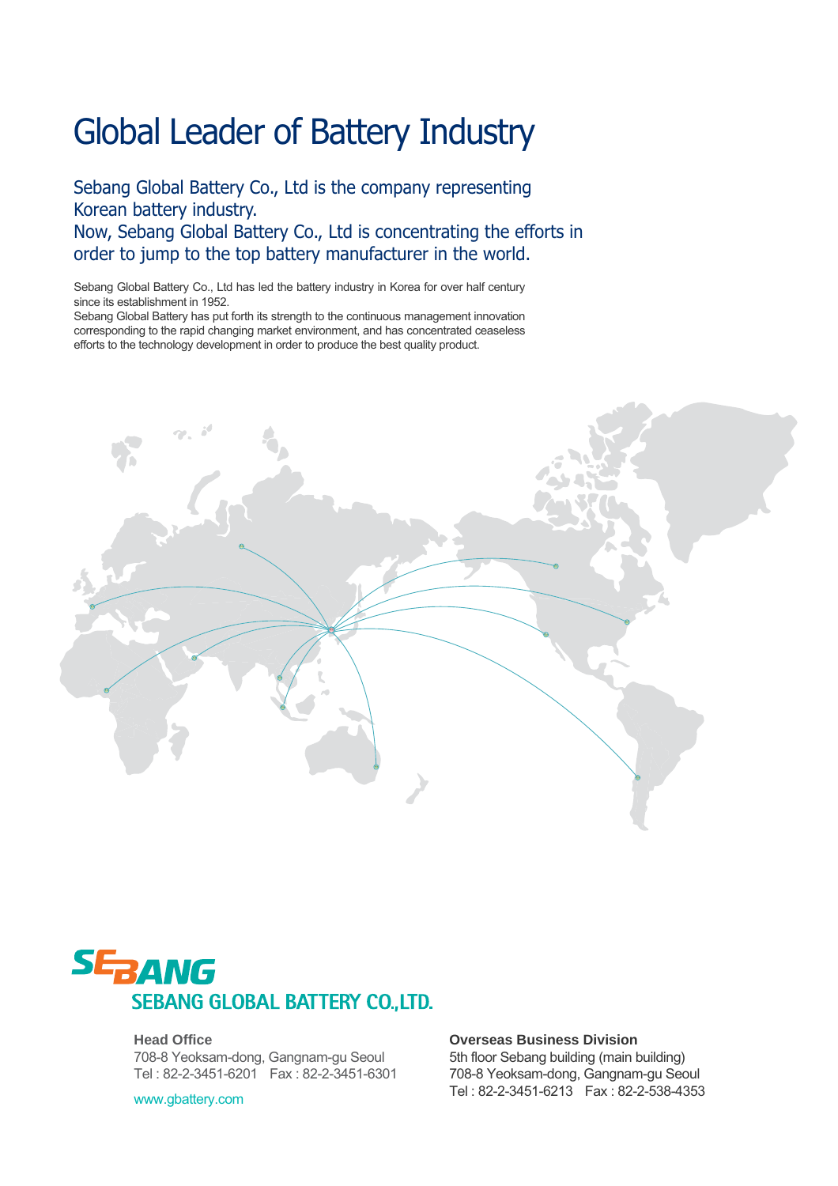# Global Leader of Battery Industry

Sebang Global Battery Co., Ltd is the company representing Korean battery industry. Now, Sebang Global Battery Co., Ltd is concentrating the efforts in order to jump to the top battery manufacturer in the world.

Sebang Global Battery Co., Ltd has led the battery industry in Korea for over half century since its establishment in 1952.

Sebang Global Battery has put forth its strength to the continuous management innovation corresponding to the rapid changing market environment, and has concentrated ceaseless efforts to the technology development in order to produce the best quality product.





#### **Head Office**

708-8 Yeoksam-dong, Gangnam-gu Seoul Tel : 82-2-3451-6201 Fax : 82-2-3451-6301

www.gbattery.com

**Overseas Business Division**  5th floor Sebang building (main building)

708-8 Yeoksam-dong, Gangnam-gu Seoul Tel : 82-2-3451-6213 Fax : 82-2-538-4353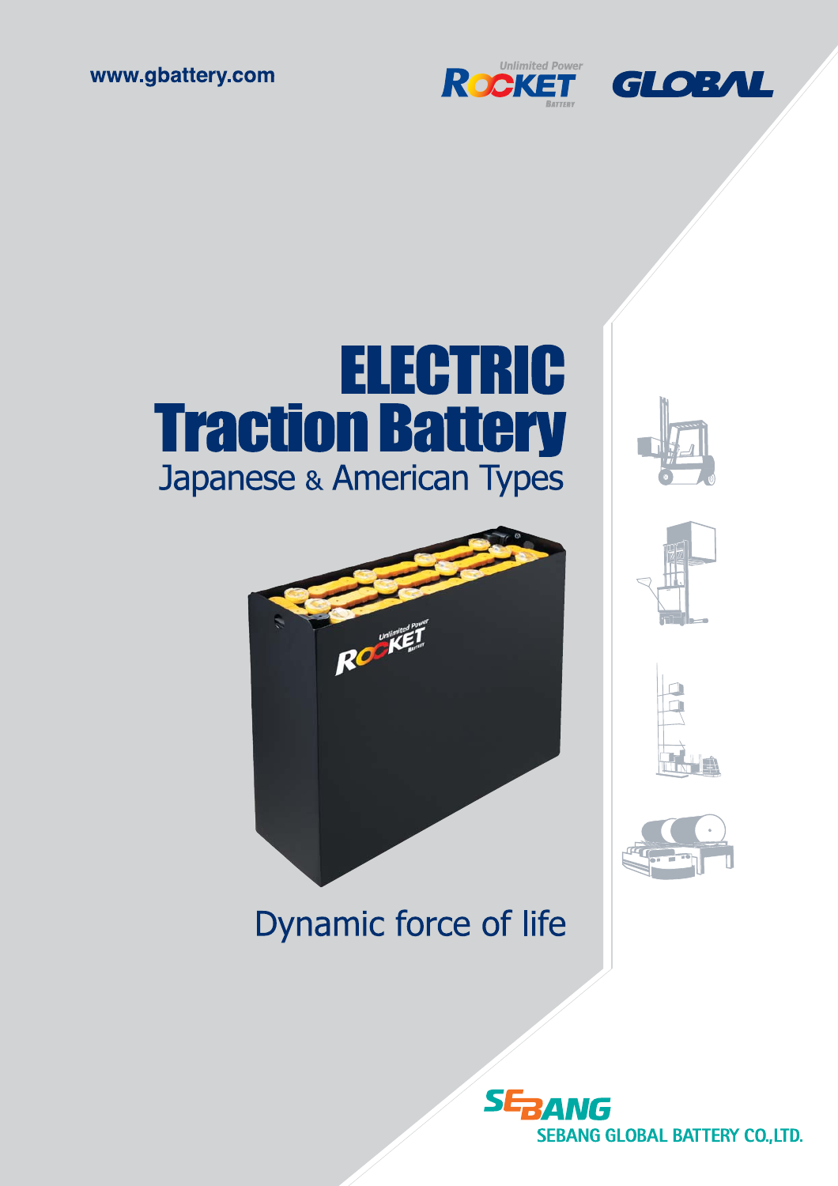





# **ELECTRIC Traction Battery Japanese & American Types**

Room









# Dynamic force of life

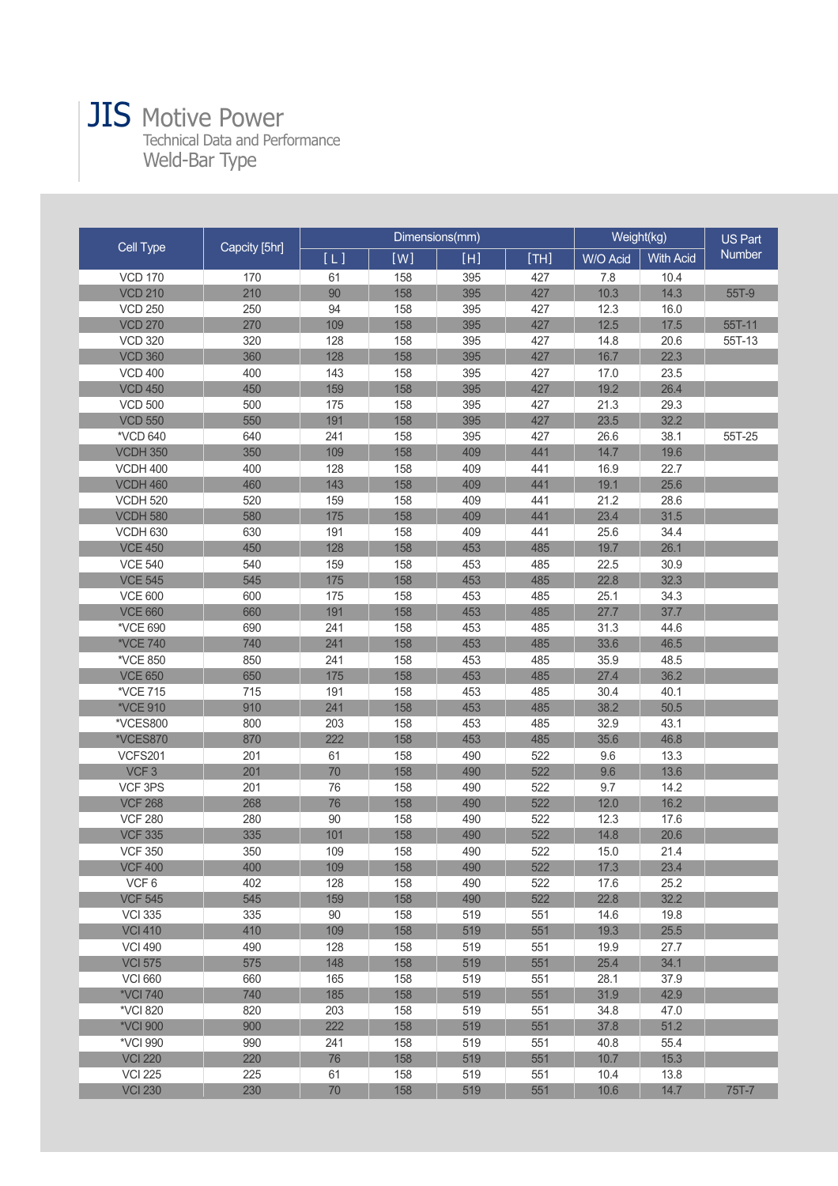# JIS Motive Power

Technical Data and Performance Weld-Bar Type

| Cell Type        | Capcity [5hr] |     |     | Dimensions(mm) | Weight(kg) |          | <b>US Part</b>   |              |
|------------------|---------------|-----|-----|----------------|------------|----------|------------------|--------------|
|                  |               | [L] | [W] | [H]            | [TH]       | W/O Acid | <b>With Acid</b> | Number       |
| <b>VCD 170</b>   | 170           | 61  | 158 | 395            | 427        | 7.8      | 10.4             |              |
| <b>VCD 210</b>   | 210           | 90  | 158 | 395            | 427        | 10.3     | 14.3             | 55T-9        |
| <b>VCD 250</b>   | 250           | 94  | 158 | 395            | 427        | 12.3     | 16.0             |              |
| <b>VCD 270</b>   | 270           | 109 | 158 | 395            | 427        | 12.5     | 17.5             | 55T-11       |
| <b>VCD 320</b>   | 320           | 128 | 158 | 395            | 427        | 14.8     | 20.6             | 55T-13       |
| <b>VCD 360</b>   | 360           | 128 | 158 | 395            | 427        | 16.7     | 22.3             |              |
| <b>VCD 400</b>   | 400           | 143 | 158 | 395            | 427        | 17.0     | 23.5             |              |
| <b>VCD 450</b>   | 450           | 159 | 158 | 395            | 427        | 19.2     | 26.4             |              |
| <b>VCD 500</b>   | 500           | 175 | 158 | 395            | 427        | 21.3     | 29.3             |              |
| <b>VCD 550</b>   | 550           | 191 | 158 | 395            | 427        | 23.5     | 32.2             |              |
| *VCD 640         | 640           | 241 | 158 | 395            | 427        | 26.6     | 38.1             | 55T-25       |
| <b>VCDH 350</b>  | 350           | 109 | 158 | 409            | 441        | 14.7     | 19.6             |              |
| <b>VCDH 400</b>  | 400           | 128 | 158 | 409            | 441        | 16.9     | 22.7             |              |
| <b>VCDH 460</b>  | 460           | 143 | 158 | 409            | 441        | 19.1     | 25.6             |              |
| <b>VCDH 520</b>  | 520           | 159 | 158 | 409            | 441        | 21.2     | 28.6             |              |
| <b>VCDH 580</b>  | 580           | 175 | 158 | 409            | 441        | 23.4     | 31.5             |              |
| <b>VCDH 630</b>  | 630           | 191 | 158 | 409            | 441        | 25.6     | 34.4             |              |
| <b>VCE 450</b>   | 450           | 128 | 158 | 453            | 485        | 19.7     | 26.1             |              |
| <b>VCE 540</b>   | 540           | 159 | 158 | 453            | 485        | 22.5     | 30.9             |              |
| <b>VCE 545</b>   | 545           | 175 | 158 | 453            | 485        | 22.8     | 32.3             |              |
| <b>VCE 600</b>   | 600           | 175 | 158 | 453            | 485        | 25.1     | 34.3             |              |
| <b>VCE 660</b>   | 660           | 191 | 158 | 453            | 485        | 27.7     | 37.7             |              |
| *VCE 690         | 690           | 241 | 158 | 453            | 485        | 31.3     | 44.6             |              |
| *VCE 740         | 740           | 241 | 158 | 453            | 485        | 33.6     | 46.5             |              |
| *VCE 850         | 850           | 241 | 158 | 453            | 485        | 35.9     | 48.5             |              |
| <b>VCE 650</b>   | 650           | 175 | 158 | 453            | 485        | 27.4     | 36.2             |              |
| *VCE 715         | 715           | 191 | 158 | 453            | 485        | 30.4     | 40.1             |              |
| *VCE 910         | 910           | 241 | 158 | 453            | 485        | 38.2     | 50.5             |              |
| *VCES800         | 800           | 203 | 158 | 453            | 485        | 32.9     | 43.1             |              |
| *VCES870         | 870           | 222 | 158 | 453            | 485        | 35.6     | 46.8             |              |
| <b>VCFS201</b>   | 201           | 61  | 158 | 490            | 522        | 9.6      | 13.3             |              |
| VCF <sub>3</sub> | 201           | 70  | 158 | 490            | 522        | 9.6      | 13.6             |              |
| VCF 3PS          | 201           | 76  | 158 | 490            | 522        | 9.7      | 14.2             |              |
| <b>VCF 268</b>   | 268           | 76  | 158 | 490            | 522        | 12.0     | 16.2             |              |
| <b>VCF 280</b>   | 280           | 90  | 158 | 490            | 522        | 12.3     | 17.6             |              |
| <b>VCF 335</b>   | 335           | 101 | 158 | 490            | 522        | 14.8     | 20.6             |              |
| <b>VCF 350</b>   | 350           | 109 | 158 | 490            | 522        | 15.0     | 21.4             |              |
| <b>VCF 400</b>   | 400           | 109 | 158 | 490            | 522        | 17.3     | 23.4             |              |
| VCF6             | 402           | 128 | 158 | 490            | 522        | 17.6     | 25.2             |              |
| <b>VCF 545</b>   | 545           | 159 | 158 | 490            | 522        | 22.8     | 32.2             |              |
| <b>VCI 335</b>   | 335           | 90  | 158 | 519            | 551        | 14.6     | 19.8             |              |
| <b>VCI 410</b>   | 410           | 109 | 158 | 519            | 551        | 19.3     | 25.5             |              |
| <b>VCI 490</b>   | 490           | 128 | 158 | 519            | 551        | 19.9     | 27.7             |              |
| <b>VCI 575</b>   | 575           | 148 | 158 | 519            | 551        | 25.4     | 34.1             |              |
| <b>VCI 660</b>   | 660           | 165 | 158 | 519            | 551        | 28.1     | 37.9             |              |
| *VCI 740         | 740           | 185 | 158 | 519            | 551        | 31.9     | 42.9             |              |
| *VCI 820         | 820           | 203 | 158 | 519            | 551        | 34.8     | 47.0             |              |
| *VCI 900         | 900           | 222 | 158 | 519            | 551        | 37.8     | 51.2             |              |
| *VCI 990         | 990           | 241 | 158 | 519            | 551        | 40.8     | 55.4             |              |
| <b>VCI 220</b>   | 220           | 76  | 158 | 519            | 551        | 10.7     | 15.3             |              |
| <b>VCI 225</b>   | 225           | 61  | 158 | 519            | 551        | 10.4     | 13.8             |              |
| <b>VCI 230</b>   | 230           | 70  | 158 | 519            | 551        | 10.6     | 14.7             | <b>75T-7</b> |
|                  |               |     |     |                |            |          |                  |              |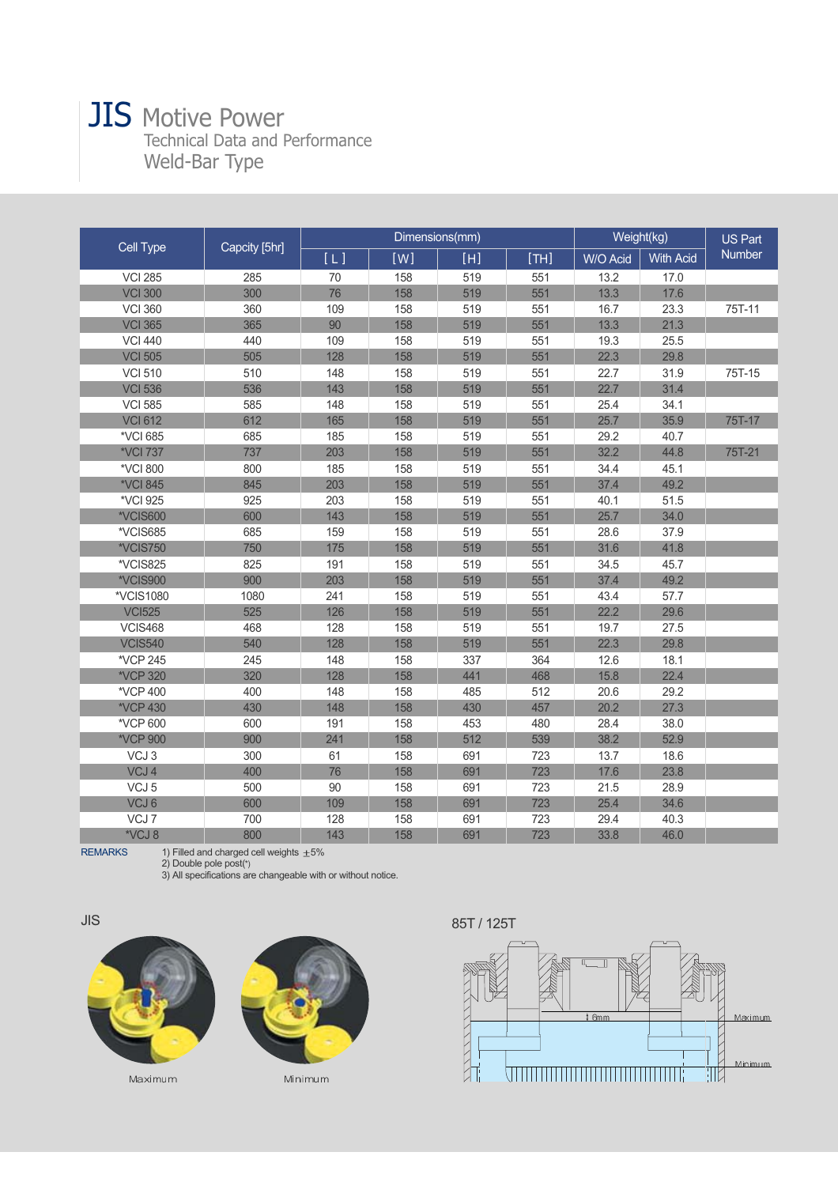## **JIS** Motive Power Technical Data and Performance Weld-Bar Type

| Cell Type        | Capcity [5hr] |     | Dimensions(mm) |     | Weight(kg) |          | <b>US Part</b>   |        |
|------------------|---------------|-----|----------------|-----|------------|----------|------------------|--------|
|                  |               | [L] | [W]            | [H] | [TH]       | W/O Acid | <b>With Acid</b> | Number |
| <b>VCI 285</b>   | 285           | 70  | 158            | 519 | 551        | 13.2     | 17.0             |        |
| <b>VCI 300</b>   | 300           | 76  | 158            | 519 | 551        | 13.3     | 17.6             |        |
| <b>VCI 360</b>   | 360           | 109 | 158            | 519 | 551        | 16.7     | 23.3             | 75T-11 |
| <b>VCI 365</b>   | 365           | 90  | 158            | 519 | 551        | 13.3     | 21.3             |        |
| <b>VCI 440</b>   | 440           | 109 | 158            | 519 | 551        | 19.3     | 25.5             |        |
| <b>VCI 505</b>   | 505           | 128 | 158            | 519 | 551        | 22.3     | 29.8             |        |
| <b>VCI 510</b>   | 510           | 148 | 158            | 519 | 551        | 22.7     | 31.9             | 75T-15 |
| <b>VCI 536</b>   | 536           | 143 | 158            | 519 | 551        | 22.7     | 31.4             |        |
| <b>VCI 585</b>   | 585           | 148 | 158            | 519 | 551        | 25.4     | 34.1             |        |
| <b>VCI 612</b>   | 612           | 165 | 158            | 519 | 551        | 25.7     | 35.9             | 75T-17 |
| *VCI 685         | 685           | 185 | 158            | 519 | 551        | 29.2     | 40.7             |        |
| *VCI 737         | 737           | 203 | 158            | 519 | 551        | 32.2     | 44.8             | 75T-21 |
| *VCI 800         | 800           | 185 | 158            | 519 | 551        | 34.4     | 45.1             |        |
| *VCI 845         | 845           | 203 | 158            | 519 | 551        | 37.4     | 49.2             |        |
| *VCI 925         | 925           | 203 | 158            | 519 | 551        | 40.1     | 51.5             |        |
| *VCIS600         | 600           | 143 | 158            | 519 | 551        | 25.7     | 34.0             |        |
| *VCIS685         | 685           | 159 | 158            | 519 | 551        | 28.6     | 37.9             |        |
| *VCIS750         | 750           | 175 | 158            | 519 | 551        | 31.6     | 41.8             |        |
| *VCIS825         | 825           | 191 | 158            | 519 | 551        | 34.5     | 45.7             |        |
| *VCIS900         | 900           | 203 | 158            | 519 | 551        | 37.4     | 49.2             |        |
| *VCIS1080        | 1080          | 241 | 158            | 519 | 551        | 43.4     | 57.7             |        |
| <b>VCI525</b>    | 525           | 126 | 158            | 519 | 551        | 22.2     | 29.6             |        |
| <b>VCIS468</b>   | 468           | 128 | 158            | 519 | 551        | 19.7     | 27.5             |        |
| <b>VCIS540</b>   | 540           | 128 | 158            | 519 | 551        | 22.3     | 29.8             |        |
| *VCP 245         | 245           | 148 | 158            | 337 | 364        | 12.6     | 18.1             |        |
| *VCP 320         | 320           | 128 | 158            | 441 | 468        | 15.8     | 22.4             |        |
| *VCP 400         | 400           | 148 | 158            | 485 | 512        | 20.6     | 29.2             |        |
| *VCP 430         | 430           | 148 | 158            | 430 | 457        | 20.2     | 27.3             |        |
| *VCP 600         | 600           | 191 | 158            | 453 | 480        | 28.4     | 38.0             |        |
| *VCP 900         | 900           | 241 | 158            | 512 | 539        | 38.2     | 52.9             |        |
| VCJ3             | 300           | 61  | 158            | 691 | 723        | 13.7     | 18.6             |        |
| VCJ4             | 400           | 76  | 158            | 691 | 723        | 17.6     | 23.8             |        |
| VCJ <sub>5</sub> | 500           | 90  | 158            | 691 | 723        | 21.5     | 28.9             |        |
| VCJ6             | 600           | 109 | 158            | 691 | 723        | 25.4     | 34.6             |        |
| VCJ7             | 700           | 128 | 158            | 691 | 723        | 29.4     | 40.3             |        |
| *VCJ 8           | 800           | 143 | 158            | 691 | 723        | 33.8     | 46.0             |        |

REMARKS 1) Filled and charged cell weights ±5%<br>2) Double pole post(\*)

3) All specifications are changeable with or without notice.



Maximum



Minimum